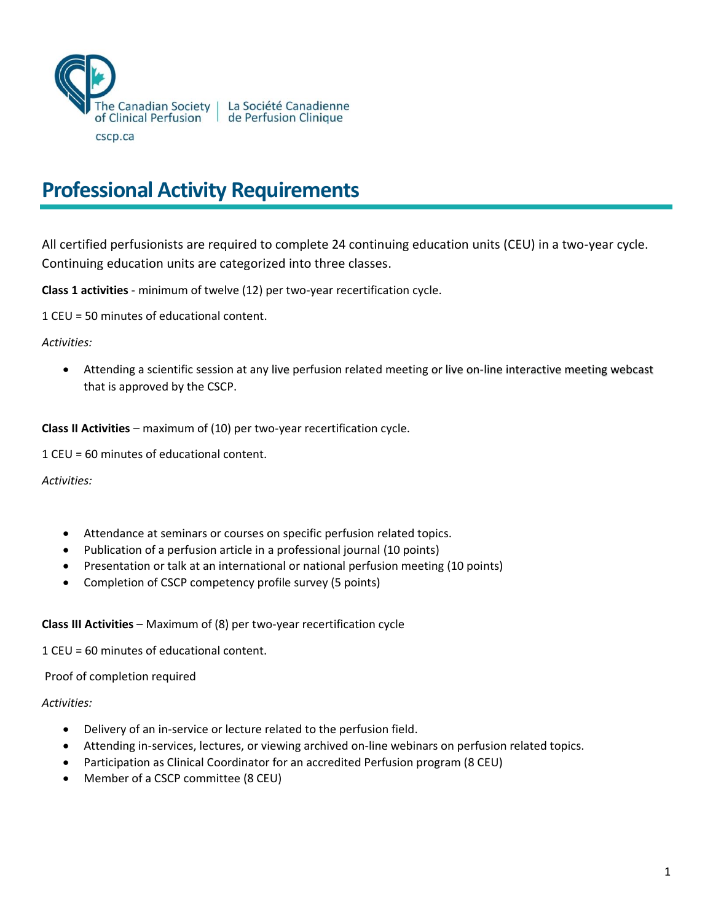

# **Professional Activity Requirements**

All certified perfusionists are required to complete 24 continuing education units (CEU) in a two-year cycle. Continuing education units are categorized into three classes.

**Class 1 activities** - minimum of twelve (12) per two-year recertification cycle.

1 CEU = 50 minutes of educational content.

*Activities:*

• Attending a scientific session at any live perfusion related meeting or live on-line interactive meeting webcast that is approved by the CSCP.

**Class II Activities** – maximum of (10) per two-year recertification cycle.

1 CEU = 60 minutes of educational content.

*Activities:*

- Attendance at seminars or courses on specific perfusion related topics.
- Publication of a perfusion article in a professional journal (10 points)
- Presentation or talk at an international or national perfusion meeting (10 points)
- Completion of CSCP competency profile survey (5 points)

#### **Class III Activities** – Maximum of (8) per two-year recertification cycle

1 CEU = 60 minutes of educational content.

Proof of completion required

*Activities:*

- Delivery of an in-service or lecture related to the perfusion field.
- Attending in-services, lectures, or viewing archived on-line webinars on perfusion related topics.
- Participation as Clinical Coordinator for an accredited Perfusion program (8 CEU)
- Member of a CSCP committee (8 CEU)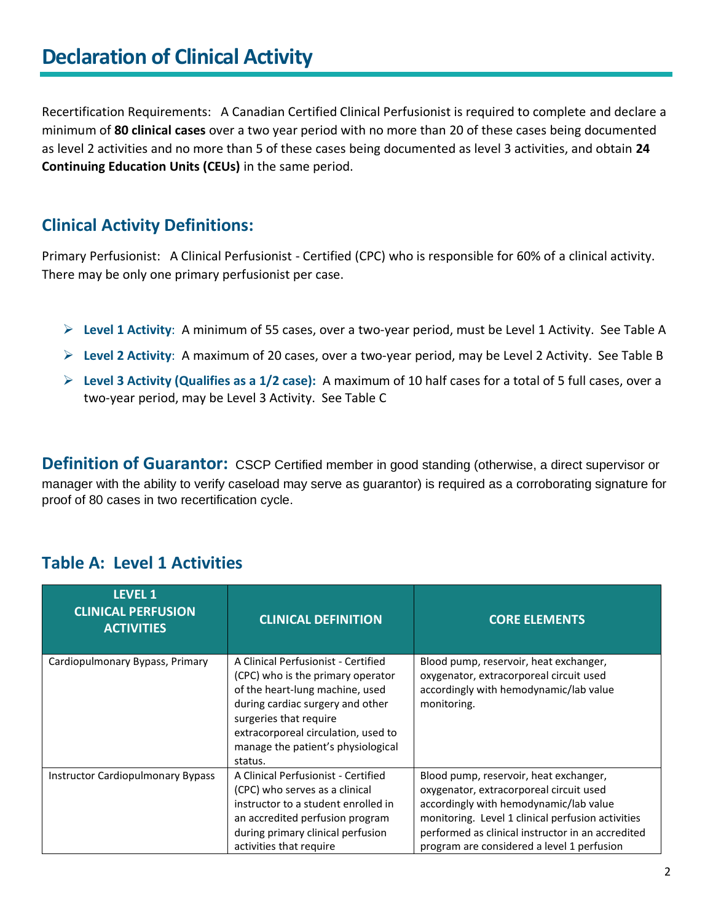# **Declaration of Clinical Activity**

Recertification Requirements: A Canadian Certified Clinical Perfusionist is required to complete and declare a minimum of **80 clinical cases** over a two year period with no more than 20 of these cases being documented as level 2 activities and no more than 5 of these cases being documented as level 3 activities, and obtain **24 Continuing Education Units (CEUs)** in the same period.

### **Clinical Activity Definitions:**

Primary Perfusionist: A Clinical Perfusionist - Certified (CPC) who is responsible for 60% of a clinical activity. There may be only one primary perfusionist per case.

- ➢ **Level 1 Activity**: A minimum of 55 cases, over a two-year period, must be Level 1 Activity. See Table A
- ➢ **Level 2 Activity**: A maximum of 20 cases, over a two-year period, may be Level 2 Activity. See Table B
- ➢ **Level 3 Activity (Qualifies as a 1/2 case):** A maximum of 10 half cases for a total of 5 full cases, over a two-year period, may be Level 3 Activity. See Table C

**Definition of Guarantor:** CSCP Certified member in good standing (otherwise, a direct supervisor or manager with the ability to verify caseload may serve as guarantor) is required as a corroborating signature for proof of 80 cases in two recertification cycle.

### **Table A: Level 1 Activities**

| <b>LEVEL 1</b><br><b>CLINICAL PERFUSION</b><br><b>ACTIVITIES</b> | <b>CLINICAL DEFINITION</b>                                                                                                                                                                                                                                        | <b>CORE ELEMENTS</b>                                                                                                                                                                                                                                                                |
|------------------------------------------------------------------|-------------------------------------------------------------------------------------------------------------------------------------------------------------------------------------------------------------------------------------------------------------------|-------------------------------------------------------------------------------------------------------------------------------------------------------------------------------------------------------------------------------------------------------------------------------------|
| Cardiopulmonary Bypass, Primary                                  | A Clinical Perfusionist - Certified<br>(CPC) who is the primary operator<br>of the heart-lung machine, used<br>during cardiac surgery and other<br>surgeries that require<br>extracorporeal circulation, used to<br>manage the patient's physiological<br>status. | Blood pump, reservoir, heat exchanger,<br>oxygenator, extracorporeal circuit used<br>accordingly with hemodynamic/lab value<br>monitoring.                                                                                                                                          |
| <b>Instructor Cardiopulmonary Bypass</b>                         | A Clinical Perfusionist - Certified<br>(CPC) who serves as a clinical<br>instructor to a student enrolled in<br>an accredited perfusion program<br>during primary clinical perfusion<br>activities that require                                                   | Blood pump, reservoir, heat exchanger,<br>oxygenator, extracorporeal circuit used<br>accordingly with hemodynamic/lab value<br>monitoring. Level 1 clinical perfusion activities<br>performed as clinical instructor in an accredited<br>program are considered a level 1 perfusion |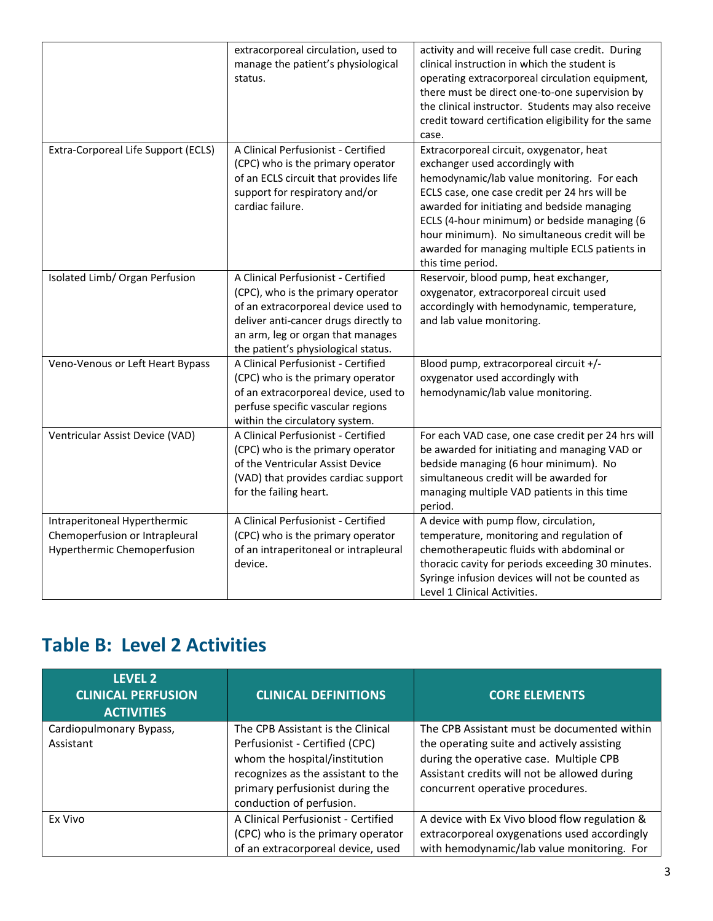|                                                                                               | extracorporeal circulation, used to<br>manage the patient's physiological<br>status.                                                                                                                                                  | activity and will receive full case credit. During<br>clinical instruction in which the student is<br>operating extracorporeal circulation equipment,<br>there must be direct one-to-one supervision by<br>the clinical instructor. Students may also receive<br>credit toward certification eligibility for the same<br>case.                                                                    |
|-----------------------------------------------------------------------------------------------|---------------------------------------------------------------------------------------------------------------------------------------------------------------------------------------------------------------------------------------|---------------------------------------------------------------------------------------------------------------------------------------------------------------------------------------------------------------------------------------------------------------------------------------------------------------------------------------------------------------------------------------------------|
| Extra-Corporeal Life Support (ECLS)                                                           | A Clinical Perfusionist - Certified<br>(CPC) who is the primary operator<br>of an ECLS circuit that provides life<br>support for respiratory and/or<br>cardiac failure.                                                               | Extracorporeal circuit, oxygenator, heat<br>exchanger used accordingly with<br>hemodynamic/lab value monitoring. For each<br>ECLS case, one case credit per 24 hrs will be<br>awarded for initiating and bedside managing<br>ECLS (4-hour minimum) or bedside managing (6<br>hour minimum). No simultaneous credit will be<br>awarded for managing multiple ECLS patients in<br>this time period. |
| Isolated Limb/ Organ Perfusion                                                                | A Clinical Perfusionist - Certified<br>(CPC), who is the primary operator<br>of an extracorporeal device used to<br>deliver anti-cancer drugs directly to<br>an arm, leg or organ that manages<br>the patient's physiological status. | Reservoir, blood pump, heat exchanger,<br>oxygenator, extracorporeal circuit used<br>accordingly with hemodynamic, temperature,<br>and lab value monitoring.                                                                                                                                                                                                                                      |
| Veno-Venous or Left Heart Bypass                                                              | A Clinical Perfusionist - Certified<br>(CPC) who is the primary operator<br>of an extracorporeal device, used to<br>perfuse specific vascular regions<br>within the circulatory system.                                               | Blood pump, extracorporeal circuit +/-<br>oxygenator used accordingly with<br>hemodynamic/lab value monitoring.                                                                                                                                                                                                                                                                                   |
| Ventricular Assist Device (VAD)                                                               | A Clinical Perfusionist - Certified<br>(CPC) who is the primary operator<br>of the Ventricular Assist Device<br>(VAD) that provides cardiac support<br>for the failing heart.                                                         | For each VAD case, one case credit per 24 hrs will<br>be awarded for initiating and managing VAD or<br>bedside managing (6 hour minimum). No<br>simultaneous credit will be awarded for<br>managing multiple VAD patients in this time<br>period.                                                                                                                                                 |
| Intraperitoneal Hyperthermic<br>Chemoperfusion or Intrapleural<br>Hyperthermic Chemoperfusion | A Clinical Perfusionist - Certified<br>(CPC) who is the primary operator<br>of an intraperitoneal or intrapleural<br>device.                                                                                                          | A device with pump flow, circulation,<br>temperature, monitoring and regulation of<br>chemotherapeutic fluids with abdominal or<br>thoracic cavity for periods exceeding 30 minutes.<br>Syringe infusion devices will not be counted as<br>Level 1 Clinical Activities.                                                                                                                           |

### **Table B: Level 2 Activities**

| <b>LEVEL 2</b><br><b>CLINICAL PERFUSION</b><br><b>ACTIVITIES</b> | <b>CLINICAL DEFINITIONS</b>                                                                                                                                                                               | <b>CORE ELEMENTS</b>                                                                                                                                                                                                     |
|------------------------------------------------------------------|-----------------------------------------------------------------------------------------------------------------------------------------------------------------------------------------------------------|--------------------------------------------------------------------------------------------------------------------------------------------------------------------------------------------------------------------------|
| Cardiopulmonary Bypass,<br>Assistant                             | The CPB Assistant is the Clinical<br>Perfusionist - Certified (CPC)<br>whom the hospital/institution<br>recognizes as the assistant to the<br>primary perfusionist during the<br>conduction of perfusion. | The CPB Assistant must be documented within<br>the operating suite and actively assisting<br>during the operative case. Multiple CPB<br>Assistant credits will not be allowed during<br>concurrent operative procedures. |
| Ex Vivo                                                          | A Clinical Perfusionist - Certified<br>(CPC) who is the primary operator<br>of an extracorporeal device, used                                                                                             | A device with Ex Vivo blood flow regulation &<br>extracorporeal oxygenations used accordingly<br>with hemodynamic/lab value monitoring. For                                                                              |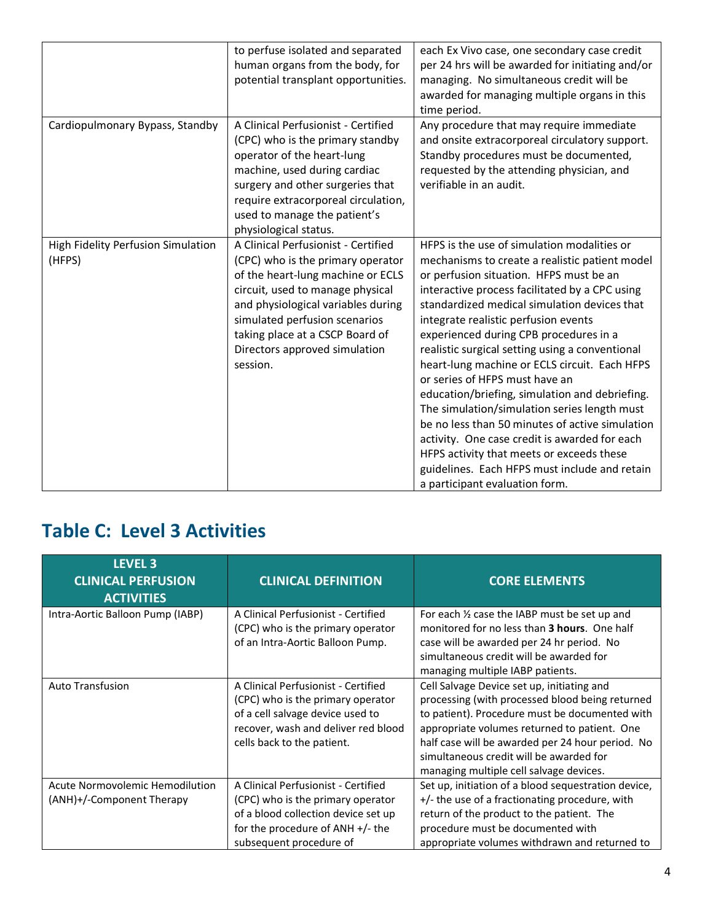|                                              | to perfuse isolated and separated<br>human organs from the body, for<br>potential transplant opportunities.                                                                                                                                                                                              | each Ex Vivo case, one secondary case credit<br>per 24 hrs will be awarded for initiating and/or<br>managing. No simultaneous credit will be<br>awarded for managing multiple organs in this<br>time period.                                                                                                                                                                                                                                                                                                                                                                                                                                                                                                                                                                                             |
|----------------------------------------------|----------------------------------------------------------------------------------------------------------------------------------------------------------------------------------------------------------------------------------------------------------------------------------------------------------|----------------------------------------------------------------------------------------------------------------------------------------------------------------------------------------------------------------------------------------------------------------------------------------------------------------------------------------------------------------------------------------------------------------------------------------------------------------------------------------------------------------------------------------------------------------------------------------------------------------------------------------------------------------------------------------------------------------------------------------------------------------------------------------------------------|
| Cardiopulmonary Bypass, Standby              | A Clinical Perfusionist - Certified<br>(CPC) who is the primary standby<br>operator of the heart-lung<br>machine, used during cardiac<br>surgery and other surgeries that<br>require extracorporeal circulation,<br>used to manage the patient's<br>physiological status.                                | Any procedure that may require immediate<br>and onsite extracorporeal circulatory support.<br>Standby procedures must be documented,<br>requested by the attending physician, and<br>verifiable in an audit.                                                                                                                                                                                                                                                                                                                                                                                                                                                                                                                                                                                             |
| High Fidelity Perfusion Simulation<br>(HFPS) | A Clinical Perfusionist - Certified<br>(CPC) who is the primary operator<br>of the heart-lung machine or ECLS<br>circuit, used to manage physical<br>and physiological variables during<br>simulated perfusion scenarios<br>taking place at a CSCP Board of<br>Directors approved simulation<br>session. | HFPS is the use of simulation modalities or<br>mechanisms to create a realistic patient model<br>or perfusion situation. HFPS must be an<br>interactive process facilitated by a CPC using<br>standardized medical simulation devices that<br>integrate realistic perfusion events<br>experienced during CPB procedures in a<br>realistic surgical setting using a conventional<br>heart-lung machine or ECLS circuit. Each HFPS<br>or series of HFPS must have an<br>education/briefing, simulation and debriefing.<br>The simulation/simulation series length must<br>be no less than 50 minutes of active simulation<br>activity. One case credit is awarded for each<br>HFPS activity that meets or exceeds these<br>guidelines. Each HFPS must include and retain<br>a participant evaluation form. |

### **Table C: Level 3 Activities**

| LEVEL 3<br><b>CLINICAL PERFUSION</b><br><b>ACTIVITIES</b>    | <b>CLINICAL DEFINITION</b>                                                                                                                                                        | <b>CORE ELEMENTS</b>                                                                                                                                                                                                                                                                                                                      |
|--------------------------------------------------------------|-----------------------------------------------------------------------------------------------------------------------------------------------------------------------------------|-------------------------------------------------------------------------------------------------------------------------------------------------------------------------------------------------------------------------------------------------------------------------------------------------------------------------------------------|
| Intra-Aortic Balloon Pump (IABP)                             | A Clinical Perfusionist - Certified<br>(CPC) who is the primary operator<br>of an Intra-Aortic Balloon Pump.                                                                      | For each 1/2 case the IABP must be set up and<br>monitored for no less than 3 hours. One half<br>case will be awarded per 24 hr period. No<br>simultaneous credit will be awarded for<br>managing multiple IABP patients.                                                                                                                 |
| <b>Auto Transfusion</b>                                      | A Clinical Perfusionist - Certified<br>(CPC) who is the primary operator<br>of a cell salvage device used to<br>recover, wash and deliver red blood<br>cells back to the patient. | Cell Salvage Device set up, initiating and<br>processing (with processed blood being returned<br>to patient). Procedure must be documented with<br>appropriate volumes returned to patient. One<br>half case will be awarded per 24 hour period. No<br>simultaneous credit will be awarded for<br>managing multiple cell salvage devices. |
| Acute Normovolemic Hemodilution<br>(ANH)+/-Component Therapy | A Clinical Perfusionist - Certified<br>(CPC) who is the primary operator<br>of a blood collection device set up<br>for the procedure of ANH +/- the<br>subsequent procedure of    | Set up, initiation of a blood sequestration device,<br>+/- the use of a fractionating procedure, with<br>return of the product to the patient. The<br>procedure must be documented with<br>appropriate volumes withdrawn and returned to                                                                                                  |